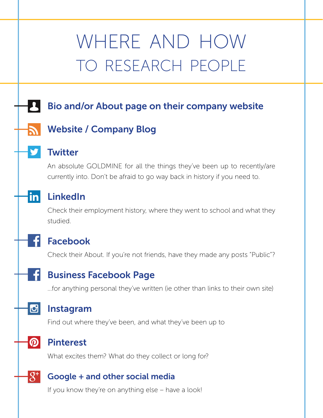# where and how to research people

## Bio and/or About page on their company website

## Website / Company Blog

## **Twitter**

An absolute GOLDMINE for all the things they've been up to recently/are currently into. Don't be afraid to go way back in history if you need to.

## LinkedIn

in

 $\mathbf{G}$ 

 $\boldsymbol{\Omega}$ 

 $\overline{g}^+$ 

Check their employment history, where they went to school and what they studied.

## Facebook

Check their About. If you're not friends, have they made any posts "Public"?

## Business Facebook Page

...for anything personal they've written (ie other than links to their own site)

#### Instagram

Find out where they've been, and what they've been up to

## Pinterest

What excites them? What do they collect or long for?

#### Google + and other social media

If you know they're on anything else – have a look!